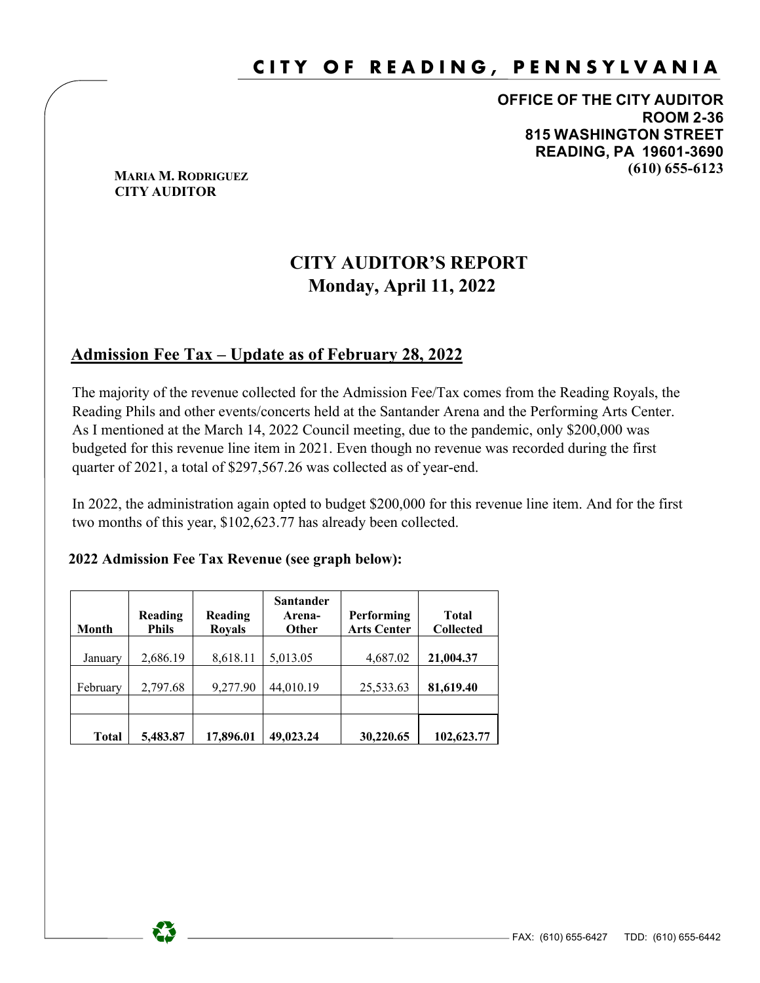## **CITY OF READING, PENNSYLVANIA**

**OFFICE OF THE CITY AUDITOR ROOM 2-36 815 WASHINGTON STREET READING, PA 19601-3690 (610) 655-6123 MARIA M. RODRIGUEZ**

# **CITY AUDITOR**

## **CITY AUDITOR'S REPORT Monday, April 11, 2022**

#### **Admission Fee Tax – Update as of February 28, 2022**

 The majority of the revenue collected for the Admission Fee/Tax comes from the Reading Royals, the Reading Phils and other events/concerts held at the Santander Arena and the Performing Arts Center. As I mentioned at the March 14, 2022 Council meeting, due to the pandemic, only \$200,000 was budgeted for this revenue line item in 2021. Even though no revenue was recorded during the first quarter of 2021, a total of \$297,567.26 was collected as of year-end.

 In 2022, the administration again opted to budget \$200,000 for this revenue line item. And for the first two months of this year, \$102,623.77 has already been collected.

#### **2022 Admission Fee Tax Revenue (see graph below):**

| <b>Month</b> | Reading<br><b>Phils</b> | Reading<br><b>Royals</b> | <b>Santander</b><br>Arena-<br><b>Other</b> | Performing<br><b>Arts Center</b> | Total<br><b>Collected</b> |
|--------------|-------------------------|--------------------------|--------------------------------------------|----------------------------------|---------------------------|
| January      | 2,686.19                | 8,618.11                 | 5,013.05                                   | 4,687.02                         | 21,004.37                 |
| February     | 2,797.68                | 9,277.90                 | 44,010.19                                  | 25,533.63                        | 81,619.40                 |
|              |                         |                          |                                            |                                  |                           |
| <b>Total</b> | 5,483.87                | 17,896.01                | 49,023.24                                  | 30,220.65                        | 102,623.77                |